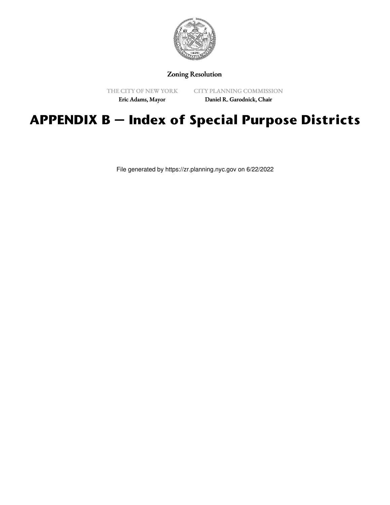

## Zoning Resolution

THE CITY OF NEW YORK

CITY PLANNING COMMISSION

Eric Adams, Mayor

Daniel R. Garodnick, Chair

## **APPENDIX B — Index of Special Purpose Districts**

File generated by https://zr.planning.nyc.gov on 6/22/2022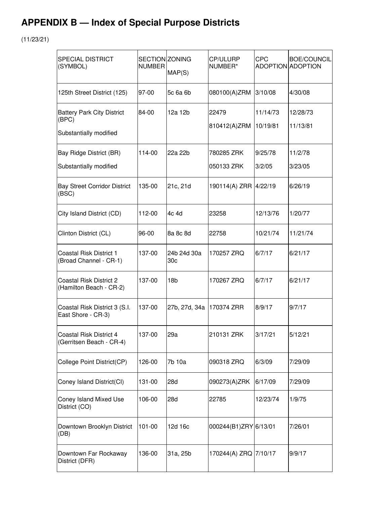## **APPENDIX B — Index of Special Purpose Districts**

(11/23/21)

| <b>SPECIAL DISTRICT</b><br>(SYMBOL)                       | SECTION ZONING<br><b>NUMBER</b> | MAP(S)                     | CP/ULURP<br>NUMBER*   | <b>CPC</b> | <b>BOE/COUNCIL</b><br>ADOPTION ADOPTION |
|-----------------------------------------------------------|---------------------------------|----------------------------|-----------------------|------------|-----------------------------------------|
| 125th Street District (125)                               | 97-00                           | 5c 6a 6b                   | 080100(A)ZRM          | 3/10/08    | 4/30/08                                 |
| <b>Battery Park City District</b><br>(BPC)                | 84-00                           | 12a 12b                    | 22479                 | 11/14/73   | 12/28/73                                |
| Substantially modified                                    |                                 |                            | 810412(A)ZRM          | 10/19/81   | 11/13/81                                |
| Bay Ridge District (BR)                                   | 114-00                          | 22a 22b                    | 780285 ZRK            | 9/25/78    | 11/2/78                                 |
| Substantially modified                                    |                                 |                            | 050133 ZRK            | 3/2/05     | 3/23/05                                 |
| <b>Bay Street Corridor District</b><br>(BSC)              | 135-00                          | 21c, 21d                   | 190114(A) ZRR 4/22/19 |            | 6/26/19                                 |
| City Island District (CD)                                 | 112-00                          | 4c 4d                      | 23258                 | 12/13/76   | 1/20/77                                 |
| Clinton District (CL)                                     | 96-00                           | 8a 8c 8d                   | 22758                 | 10/21/74   | 11/21/74                                |
| <b>Coastal Risk District 1</b><br>(Broad Channel - CR-1)  | 137-00                          | 24b 24d 30a<br>30c         | 170257 ZRQ            | 6/7/17     | 6/21/17                                 |
| <b>Coastal Risk District 2</b><br>(Hamilton Beach - CR-2) | 137-00                          | 18 <sub>b</sub>            | 170267 ZRQ            | 6/7/17     | 6/21/17                                 |
| Coastal Risk District 3 (S.I.<br>East Shore - CR-3)       | 137-00                          | 27b, 27d, 34a   170374 ZRR |                       | 8/9/17     | 9/7/17                                  |
| Coastal Risk District 4<br>(Gerritsen Beach - CR-4)       | 137-00                          | 29a                        | 210131 ZRK            | 3/17/21    | 5/12/21                                 |
| College Point District(CP)                                | 126-00                          | 7b 10a                     | 090318 ZRQ            | 6/3/09     | 7/29/09                                 |
| Coney Island District(CI)                                 | 131-00                          | 28d                        | 090273(A)ZRK          | 6/17/09    | 7/29/09                                 |
| Coney Island Mixed Use<br>District (CO)                   | 106-00                          | 28d                        | 22785                 | 12/23/74   | 1/9/75                                  |
| Downtown Brooklyn District<br>(DB)                        | $101 - 00$                      | 12d 16c                    | 000244(B1)ZRY 6/13/01 |            | 7/26/01                                 |
| Downtown Far Rockaway<br>District (DFR)                   | 136-00                          | 31a, 25b                   | 170244(A) ZRQ 7/10/17 |            | 9/9/17                                  |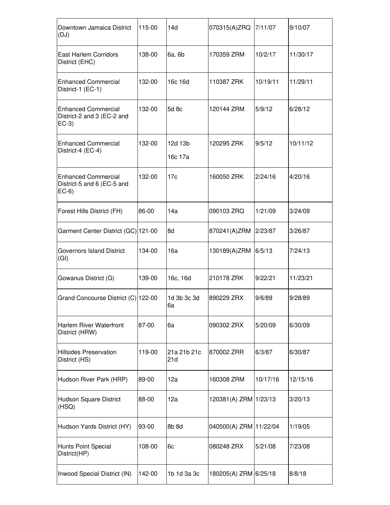| Downtown Jamaica District<br>(DJ)                                   | 115-00 | 14d                | 070315(A)ZRQ 7/11/07   |          | 9/10/07  |
|---------------------------------------------------------------------|--------|--------------------|------------------------|----------|----------|
| East Harlem Corridors<br>District (EHC)                             | 138-00 | 6a, 6b             | 170359 ZRM             | 10/2/17  | 11/30/17 |
| <b>Enhanced Commercial</b><br>District-1 (EC-1)                     | 132-00 | 16c 16d            | 110387 ZRK             | 10/19/11 | 11/29/11 |
| <b>Enhanced Commercial</b><br>District-2 and 3 (EC-2 and<br>$EC-3)$ | 132-00 | <b>5d 8c</b>       | 120144 ZRM             | 5/9/12   | 6/28/12  |
| <b>Enhanced Commercial</b><br>District-4 (EC-4)                     | 132-00 | 12d 13b<br>16c 17a | 120295 ZRK             | 9/5/12   | 10/11/12 |
| <b>Enhanced Commercial</b><br>District-5 and 6 (EC-5 and<br>$EC-6$  | 132-00 | 17c                | 160050 ZRK             | 2/24/16  | 4/20/16  |
| Forest Hills District (FH)                                          | 86-00  | 14a                | 090103 ZRQ             | 1/21/09  | 3/24/09  |
| Garment Center District (GC) 121-00                                 |        | 8d                 | 870241(A)ZRM 2/23/87   |          | 3/26/87  |
| <b>Governors Island District</b><br>(GI)                            | 134-00 | 16a                | 130189(A)ZRM 6/5/13    |          | 7/24/13  |
| Gowanus District (G)                                                | 139-00 | 16c, 16d           | 210178 ZRK             | 9/22/21  | 11/23/21 |
| Grand Concourse District (C) 122-00                                 |        | 1d 3b 3c 3d<br>6a  | 890229 ZRX             | 9/6/89   | 9/28/89  |
| Harlem River Waterfront<br>District (HRW)                           | 87-00  | 6a                 | 090302 ZRX             | 5/20/09  | 6/30/09  |
| <b>Hillsides Preservation</b><br>District (HS)                      | 119-00 | 21a 21b 21c<br>21d | 870002 ZRR             | 6/3/87   | 6/30/87  |
| Hudson River Park (HRP)                                             | 89-00  | 12a                | 160308 ZRM             | 10/17/16 | 12/15/16 |
| Hudson Square District<br>(HSQ)                                     | 88-00  | 12a                | 120381(A) ZRM 1/23/13  |          | 3/20/13  |
| Hudson Yards District (HY)                                          | 93-00  | 8b <sub>8d</sub>   | 040500(A) ZRM 11/22/04 |          | 1/19/05  |
| Hunts Point Special<br>District(HP)                                 | 108-00 | 6c                 | 080248 ZRX             | 5/21/08  | 7/23/08  |
| Inwood Special District (IN)                                        | 142-00 | 1b 1d 3a 3c        | 180205(A) ZRM 6/25/18  |          | 8/8/18   |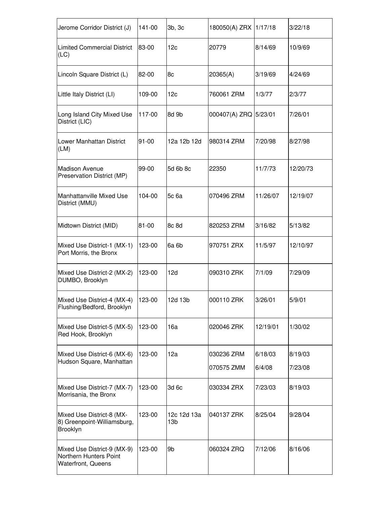| Jerome Corridor District (J)                                                       | 141-00    | 3b, 3c                         | 180050(A) ZRX 1/17/18 |          | 3/22/18  |
|------------------------------------------------------------------------------------|-----------|--------------------------------|-----------------------|----------|----------|
| Limited Commercial District<br>(LC)                                                | 83-00     | 12c                            | 20779                 | 8/14/69  | 10/9/69  |
| Lincoln Square District (L)                                                        | 82-00     | 8c                             | 20365(A)              | 3/19/69  | 4/24/69  |
| Little Italy District (LI)                                                         | 109-00    | 12c                            | 760061 ZRM            | 1/3/77   | 2/3/77   |
| Long Island City Mixed Use<br>District (LIC)                                       | 117-00    | 8d 9b                          | 000407(A) ZRQ 5/23/01 |          | 7/26/01  |
| Lower Manhattan District<br>(LM)                                                   | $91 - 00$ | 12a 12b 12d                    | 980314 ZRM            | 7/20/98  | 8/27/98  |
| <b>Madison Avenue</b><br>Preservation District (MP)                                | 99-00     | 5d 6b 8c                       | 22350                 | 11/7/73  | 12/20/73 |
| Manhattanville Mixed Use<br>District (MMU)                                         | 104-00    | 5c 6a                          | 070496 ZRM            | 11/26/07 | 12/19/07 |
| Midtown District (MID)                                                             | 81-00     | 8c 8d                          | 820253 ZRM            | 3/16/82  | 5/13/82  |
| Mixed Use District-1 (MX-1)<br>Port Morris, the Bronx                              | 123-00    | 6a <sub>6b</sub>               | 970751 ZRX            | 11/5/97  | 12/10/97 |
| Mixed Use District-2 (MX-2)<br>DUMBO, Brooklyn                                     | 123-00    | 12d                            | 090310 ZRK            | 7/1/09   | 7/29/09  |
| Mixed Use District-4 (MX-4)<br>Flushing/Bedford, Brooklyn                          | 123-00    | 12d 13b                        | 000110 ZRK            | 3/26/01  | 5/9/01   |
| Mixed Use District-5 (MX-5)<br>Red Hook, Brooklyn                                  | 123-00    | 16a                            | 020046 ZRK            | 12/19/01 | 1/30/02  |
| Mixed Use District-6 (MX-6)<br>Hudson Square, Manhattan                            | 123-00    | 12a                            | 030236 ZRM            | 6/18/03  | 8/19/03  |
|                                                                                    |           |                                | 070575 ZMM            | 6/4/08   | 7/23/08  |
| Mixed Use District-7 (MX-7)<br>Morrisania, the Bronx                               | 123-00    | 3d 6c                          | 030334 ZRX            | 7/23/03  | 8/19/03  |
| Mixed Use District-8 (MX-<br>8) Greenpoint-Williamsburg,<br>Brooklyn               | 123-00    | 12c 12d 13a<br>13 <sub>b</sub> | 040137 ZRK            | 8/25/04  | 9/28/04  |
| Mixed Use District-9 (MX-9)<br>Northern Hunters Point<br><b>Waterfront, Queens</b> | 123-00    | 9b                             | 060324 ZRQ            | 7/12/06  | 8/16/06  |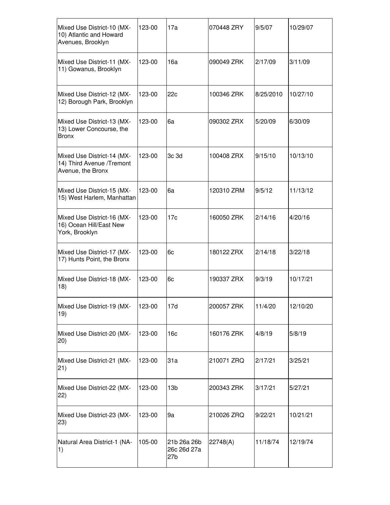| Mixed Use District-10 (MX-<br>10) Atlantic and Howard<br>Avenues, Brooklyn   | 123-00 | 17a                                           | 070448 ZRY | 9/5/07    | 10/29/07 |
|------------------------------------------------------------------------------|--------|-----------------------------------------------|------------|-----------|----------|
| Mixed Use District-11 (MX-<br>11) Gowanus, Brooklyn                          | 123-00 | 16a                                           | 090049 ZRK | 2/17/09   | 3/11/09  |
| Mixed Use District-12 (MX-<br>12) Borough Park, Brooklyn                     | 123-00 | 22c                                           | 100346 ZRK | 8/25/2010 | 10/27/10 |
| Mixed Use District-13 (MX-<br>13) Lower Concourse, the<br><b>Bronx</b>       | 123-00 | 6a                                            | 090302 ZRX | 5/20/09   | 6/30/09  |
| Mixed Use District-14 (MX-<br>14) Third Avenue /Tremont<br>Avenue, the Bronx | 123-00 | 3c 3d                                         | 100408 ZRX | 9/15/10   | 10/13/10 |
| Mixed Use District-15 (MX-<br>15) West Harlem, Manhattan                     | 123-00 | 6a                                            | 120310 ZRM | 9/5/12    | 11/13/12 |
| Mixed Use District-16 (MX-<br>16) Ocean Hill/East New<br>York, Brooklyn      | 123-00 | 17c                                           | 160050 ZRK | 2/14/16   | 4/20/16  |
| Mixed Use District-17 (MX-<br>17) Hunts Point, the Bronx                     | 123-00 | 6c                                            | 180122 ZRX | 2/14/18   | 3/22/18  |
| Mixed Use District-18 (MX-<br>18)                                            | 123-00 | 6c                                            | 190337 ZRX | 9/3/19    | 10/17/21 |
| Mixed Use District-19 (MX-<br>19)                                            | 123-00 | 17d                                           | 200057 ZRK | 11/4/20   | 12/10/20 |
| Mixed Use District-20 (MX-<br>(20)                                           | 123-00 | 16 <sub>c</sub>                               | 160176 ZRK | 4/8/19    | 5/8/19   |
| Mixed Use District-21 (MX-<br>(21)                                           | 123-00 | 31a                                           | 210071 ZRQ | 2/17/21   | 3/25/21  |
| Mixed Use District-22 (MX-<br>(22)                                           | 123-00 | 13 <sub>b</sub>                               | 200343 ZRK | 3/17/21   | 5/27/21  |
| Mixed Use District-23 (MX-<br>23)                                            | 123-00 | 9a                                            | 210026 ZRQ | 9/22/21   | 10/21/21 |
| Natural Area District-1 (NA-<br>1)                                           | 105-00 | 21b 26a 26b<br>26c 26d 27a<br>27 <sub>b</sub> | 22748(A)   | 11/18/74  | 12/19/74 |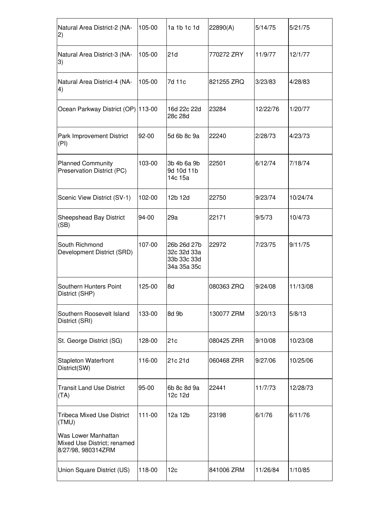| Natural Area District-2 (NA-<br>2)                                       | 105-00    | 1a 1b 1c 1d                                              | 22890(A)   | 5/14/75  | 5/21/75  |
|--------------------------------------------------------------------------|-----------|----------------------------------------------------------|------------|----------|----------|
| Natural Area District-3 (NA-<br>3)                                       | 105-00    | 21d                                                      | 770272 ZRY | 11/9/77  | 12/1/77  |
| Natural Area District-4 (NA-<br>4)                                       | 105-00    | 7d 11c                                                   | 821255 ZRQ | 3/23/83  | 4/28/83  |
| Ocean Parkway District (OP) 113-00                                       |           | 16d 22c 22d<br>28c 28d                                   | 23284      | 12/22/76 | 1/20/77  |
| Park Improvement District<br>(PI)                                        | $92 - 00$ | 5d 6b 8c 9a                                              | 22240      | 2/28/73  | 4/23/73  |
| <b>Planned Community</b><br>Preservation District (PC)                   | 103-00    | 3b 4b 6a 9b<br>9d 10d 11b<br>14c 15a                     | 22501      | 6/12/74  | 7/18/74  |
| Scenic View District (SV-1)                                              | 102-00    | 12b 12d                                                  | 22750      | 9/23/74  | 10/24/74 |
| <b>Sheepshead Bay District</b><br>(SB)                                   | 94-00     | 29a                                                      | 22171      | 9/5/73   | 10/4/73  |
| South Richmond<br>Development District (SRD)                             | 107-00    | 26b 26d 27b<br>32c 32d 33a<br>33b 33c 33d<br>34a 35a 35c | 22972      | 7/23/75  | 9/11/75  |
| Southern Hunters Point<br>District (SHP)                                 | 125-00    | 8d                                                       | 080363 ZRQ | 9/24/08  | 11/13/08 |
| Southern Roosevelt Island<br>District (SRI)                              | 133-00    | 8d 9b                                                    | 130077 ZRM | 3/20/13  | 5/8/13   |
| St. George District (SG)                                                 | 128-00    | 21c                                                      | 080425 ZRR | 9/10/08  | 10/23/08 |
| <b>Stapleton Waterfront</b><br>District(SW)                              | 116-00    | 21c 21d                                                  | 060468 ZRR | 9/27/06  | 10/25/06 |
| <b>Transit Land Use District</b><br>(TA)                                 | 95-00     | 6b 8c 8d 9a<br>12c 12d                                   | 22441      | 11/7/73  | 12/28/73 |
| <b>Tribeca Mixed Use District</b><br>(TMU)                               | 111-00    | 12a 12b                                                  | 23198      | 6/1/76   | 6/11/76  |
| Was Lower Manhattan<br>Mixed Use District; renamed<br>8/27/98, 980314ZRM |           |                                                          |            |          |          |
| Union Square District (US)                                               | 118-00    | 12c                                                      | 841006 ZRM | 11/26/84 | 1/10/85  |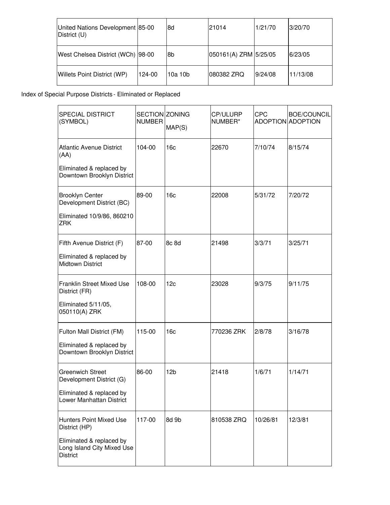| United Nations Development 85-00<br>District (U) |        | 8d      | 21014                 | 1/21/70 | 3/20/70  |
|--------------------------------------------------|--------|---------|-----------------------|---------|----------|
| West Chelsea District (WCh) 98-00                |        | 8b      | 050161(A) ZRM 5/25/05 |         | 6/23/05  |
| <b>Willets Point District (WP)</b>               | 124-00 | 10a 10b | 1080382 ZRQ           | 9/24/08 | 11/13/08 |

Index of Special Purpose Districts - Eliminated or Replaced

| <b>SPECIAL DISTRICT</b><br>(SYMBOL)                                       | SECTION ZONING<br><b>NUMBER</b> | MAP(S)          | CP/ULURP<br>NUMBER* | <b>CPC</b> | <b>BOE/COUNCIL</b><br>ADOPTION ADOPTION |
|---------------------------------------------------------------------------|---------------------------------|-----------------|---------------------|------------|-----------------------------------------|
| <b>Atlantic Avenue District</b><br>(AA)                                   | 104-00                          | 16 <sub>c</sub> | 22670               | 7/10/74    | 8/15/74                                 |
| Eliminated & replaced by<br>Downtown Brooklyn District                    |                                 |                 |                     |            |                                         |
| <b>Brooklyn Center</b><br>Development District (BC)                       | 89-00                           | 16c             | 22008               | 5/31/72    | 7/20/72                                 |
| Eliminated 10/9/86, 860210<br><b>ZRK</b>                                  |                                 |                 |                     |            |                                         |
| Fifth Avenue District (F)                                                 | 87-00                           | 8c 8d           | 21498               | 3/3/71     | 3/25/71                                 |
| Eliminated & replaced by<br><b>Midtown District</b>                       |                                 |                 |                     |            |                                         |
| <b>Franklin Street Mixed Use</b><br>District (FR)                         | 108-00                          | 12c             | 23028               | 9/3/75     | 9/11/75                                 |
| Eliminated 5/11/05,<br>050110(A) ZRK                                      |                                 |                 |                     |            |                                         |
| Fulton Mall District (FM)                                                 | 115-00                          | 16 <sub>c</sub> | 770236 ZRK          | 2/8/78     | 3/16/78                                 |
| Eliminated & replaced by<br>Downtown Brooklyn District                    |                                 |                 |                     |            |                                         |
| <b>Greenwich Street</b><br>Development District (G)                       | 86-00                           | 12 <sub>b</sub> | 21418               | 1/6/71     | 1/14/71                                 |
| Eliminated & replaced by<br>Lower Manhattan District                      |                                 |                 |                     |            |                                         |
| Hunters Point Mixed Use<br>District (HP)                                  | 117-00                          | 8d 9b           | 810538 ZRQ          | 10/26/81   | 12/3/81                                 |
| Eliminated & replaced by<br>Long Island City Mixed Use<br><b>District</b> |                                 |                 |                     |            |                                         |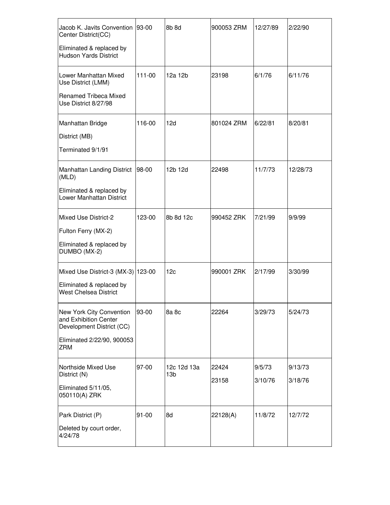| Jacob K. Javits Convention 93-00<br>Center District(CC)                        |           | 8b 8d                          | 900053 ZRM | 12/27/89 | 2/22/90  |
|--------------------------------------------------------------------------------|-----------|--------------------------------|------------|----------|----------|
| Eliminated & replaced by<br><b>Hudson Yards District</b>                       |           |                                |            |          |          |
| Lower Manhattan Mixed<br>Use District (LMM)                                    | 111-00    | 12a 12b                        | 23198      | 6/1/76   | 6/11/76  |
| Renamed Tribeca Mixed<br>Use District 8/27/98                                  |           |                                |            |          |          |
| Manhattan Bridge                                                               | 116-00    | 12d                            | 801024 ZRM | 6/22/81  | 8/20/81  |
| District (MB)                                                                  |           |                                |            |          |          |
| Terminated 9/1/91                                                              |           |                                |            |          |          |
| Manhattan Landing District<br>(MLD)                                            | 98-00     | 12b 12d                        | 22498      | 11/7/73  | 12/28/73 |
| Eliminated & replaced by<br>Lower Manhattan District                           |           |                                |            |          |          |
| <b>Mixed Use District-2</b>                                                    | 123-00    | 8b 8d 12c                      | 990452 ZRK | 7/21/99  | 9/9/99   |
| Fulton Ferry (MX-2)                                                            |           |                                |            |          |          |
| Eliminated & replaced by<br>DUMBO (MX-2)                                       |           |                                |            |          |          |
| Mixed Use District-3 (MX-3) 123-00                                             |           | 12c                            | 990001 ZRK | 2/17/99  | 3/30/99  |
| Eliminated & replaced by<br><b>West Chelsea District</b>                       |           |                                |            |          |          |
| New York City Convention<br>and Exhibition Center<br>Development District (CC) | 93-00     | 8a 8c                          | 22264      | 3/29/73  | 5/24/73  |
| Eliminated 2/22/90, 900053<br><b>ZRM</b>                                       |           |                                |            |          |          |
| Northside Mixed Use<br>District (N)                                            | 97-00     | 12c 12d 13a<br>13 <sub>b</sub> | 22424      | 9/5/73   | 9/13/73  |
| Eliminated 5/11/05,<br>050110(A) ZRK                                           |           |                                | 23158      | 3/10/76  | 3/18/76  |
| Park District (P)                                                              | $91 - 00$ | 8d                             | 22128(A)   | 11/8/72  | 12/7/72  |
| Deleted by court order,<br>4/24/78                                             |           |                                |            |          |          |